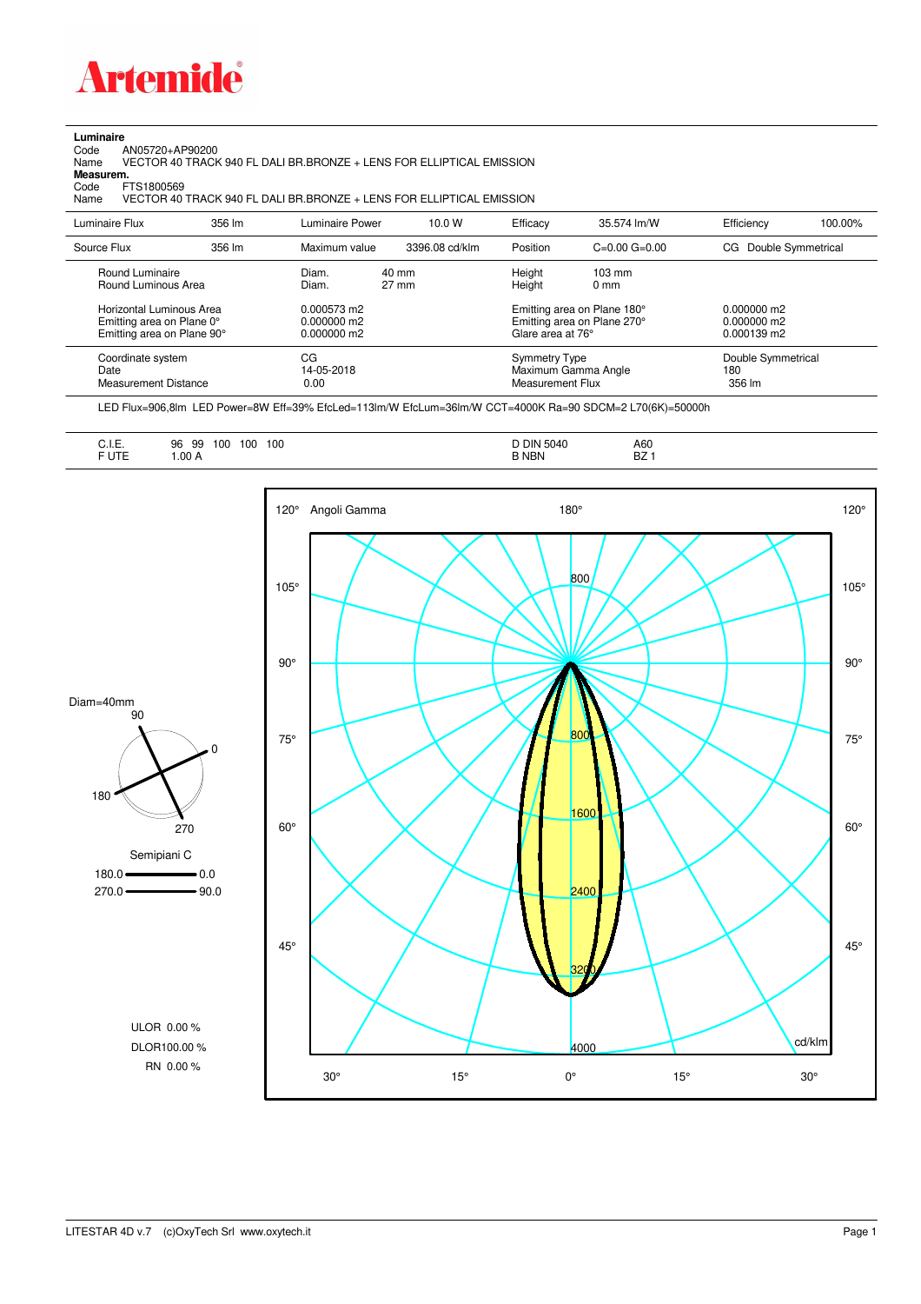

**Luminaire**<br>Code /<br>Name Code AN05720+AP90200 Name VECTOR 40 TRACK 940 FL DALI BR.BRONZE + LENS FOR ELLIPTICAL EMISSION

**Measurem.**

Code FTS1800569<br>Name VECTOR 40 VECTOR 40 TRACK 940 FL DALI BR.BRONZE + LENS FOR ELLIPTICAL EMISSION

| Luminaire Flux                                                                      | 356 lm | Luminaire Power                               | 10.0 W                             | Efficacy                          | 35.574 lm/W                                                | Efficiency                                           | 100.00% |
|-------------------------------------------------------------------------------------|--------|-----------------------------------------------|------------------------------------|-----------------------------------|------------------------------------------------------------|------------------------------------------------------|---------|
| Source Flux                                                                         | 356 lm | Maximum value                                 | 3396.08 cd/klm                     | Position                          | $C=0.00$ $G=0.00$                                          | Double Symmetrical<br>CG.                            |         |
| Round Luminaire<br>Round Luminous Area                                              |        | Diam.<br>Diam.                                | $40 \text{ mm}$<br>$27 \text{ mm}$ | Height<br>Height                  | $103 \text{ mm}$<br>$0 \text{ mm}$                         |                                                      |         |
| Horizontal Luminous Area<br>Emitting area on Plane 0°<br>Emitting area on Plane 90° |        | 0.000573 m2<br>$0.000000$ m2<br>$0.000000$ m2 |                                    | Glare area at 76°                 | Emitting area on Plane 180°<br>Emitting area on Plane 270° | $0.000000$ m2<br>0.000000 m2<br>$0.000139 \text{ m}$ |         |
| Coordinate system<br>Date<br>Measurement Distance                                   |        | CG<br>14-05-2018<br>0.00                      |                                    | Symmetry Type<br>Measurement Flux | Maximum Gamma Angle                                        | Double Symmetrical<br>180<br>356 lm                  |         |

LED Flux=906,8lm LED Power=8W Eff=39% EfcLed=113lm/W EfcLum=36lm/W CCT=4000K Ra=90 SDCM=2 L70(6K)=50000h